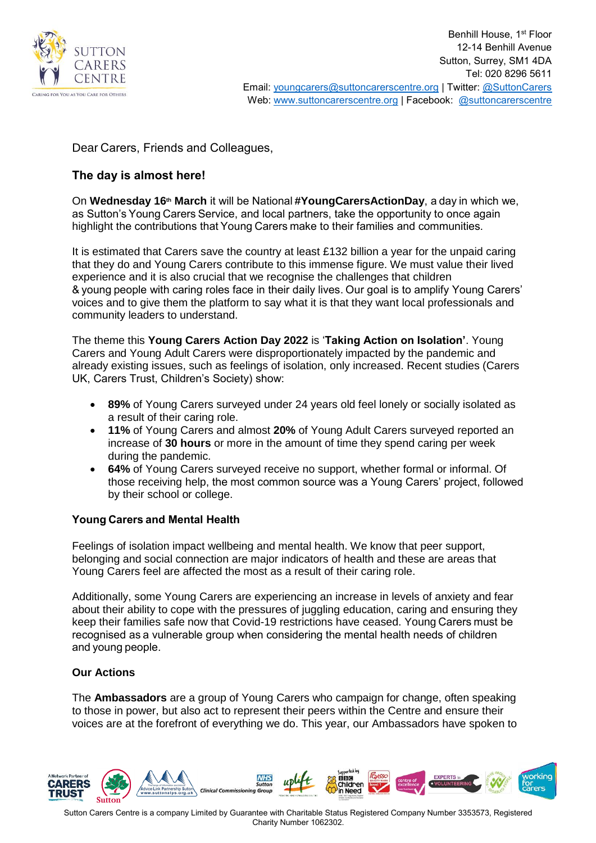

# Dear Carers, Friends and Colleagues,

## **The day is almost here!**

On **Wednesday 16th March** it will be National **#YoungCarersActionDay**, a day in which we, as Sutton's Young Carers Service, and local partners, take the opportunity to once again highlight the contributions that Young Carers make to their families and communities.

It is estimated that Carers save the country at least £132 billion a year for the unpaid caring that they do and Young Carers contribute to this immense figure. We must value their lived experience and it is also crucial that we recognise the challenges that children & young people with caring roles face in their daily lives. Our goal is to amplify Young Carers' voices and to give them the platform to say what it is that they want local professionals and community leaders to understand.

The theme this **Young Carers Action Day 2022** is '**Taking Action on Isolation'**. Young Carers and Young Adult Carers were disproportionately impacted by the pandemic and already existing issues, such as feelings of isolation, only increased. Recent studies (Carers UK, Carers Trust, Children's Society) show:

- **89%** of Young Carers surveyed under 24 years old feel lonely or socially isolated as a result of their caring role.
- **11%** of Young Carers and almost **20%** of Young Adult Carers surveyed reported an increase of **30 hours** or more in the amount of time they spend caring per week during the pandemic.
- **64%** of Young Carers surveyed receive no support, whether formal or informal. Of those receiving help, the most common source was a Young Carers' project, followed by their school or college.

#### **Young Carers and Mental Health**

Feelings of isolation impact wellbeing and mental health. We know that peer support, belonging and social connection are major indicators of health and these are areas that Young Carers feel are affected the most as a result of their caring role.

Additionally, some Young Carers are experiencing an increase in levels of anxiety and fear about their ability to cope with the pressures of juggling education, caring and ensuring they keep their families safe now that Covid-19 restrictions have ceased. Young Carers must be recognised as a vulnerable group when considering the mental health needs of children and young people.

#### **Our Actions**

The **Ambassadors** are a group of Young Carers who campaign for change, often speaking to those in power, but also act to represent their peers within the Centre and ensure their voices are at the forefront of everything we do. This year, our Ambassadors have spoken to

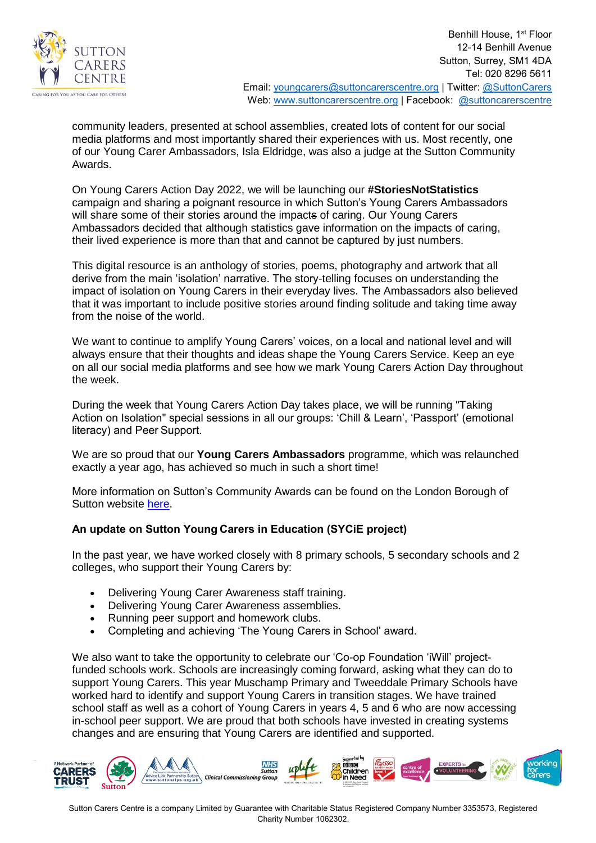

Benhill House, 1st Floor 12-14 Benhill Avenue Sutton, Surrey, SM1 4DA Tel: 020 8296 5611 Email: [youngcarers@suttoncarerscentre.org](mailto:youngcarers@suttoncarerscentre.org) | Twitter: [@SuttonCarers](https://twitter.com/suttoncarers?lang=en) Web: [www.suttoncarerscentre.org](http://www.suttoncarerscentre.org/) | Facebook: [@suttoncarerscentre](http://www.carers.org/sutton)

community leaders, presented at school assemblies, created lots of content for our social media platforms and most importantly shared their experiences with us. Most recently, one of our Young Carer Ambassadors, Isla Eldridge, was also a judge at the Sutton Community Awards.

On Young Carers Action Day 2022, we will be launching our **#StoriesNotStatistics**  campaign and sharing a poignant resource in which Sutton's Young Carers Ambassadors will share some of their stories around the impacts of caring. Our Young Carers Ambassadors decided that although statistics gave information on the impacts of caring, their lived experience is more than that and cannot be captured by just numbers.

This digital resource is an anthology of stories, poems, photography and artwork that all derive from the main 'isolation' narrative. The story-telling focuses on understanding the impact of isolation on Young Carers in their everyday lives. The Ambassadors also believed that it was important to include positive stories around finding solitude and taking time away from the noise of the world.

We want to continue to amplify Young Carers' voices, on a local and national level and will always ensure that their thoughts and ideas shape the Young Carers Service. Keep an eye on all our social media platforms and see how we mark Young Carers Action Day throughout the week.

During the week that Young Carers Action Day takes place, we will be running "Taking Action on Isolation" special sessions in all our groups: 'Chill & Learn', 'Passport' (emotional literacy) and Peer Support.

We are so proud that our **Young Carers Ambassadors** programme, which was relaunched exactly a year ago, has achieved so much in such a short time!

More information on Sutton's Community Awards can be found on the London Borough of Sutton website [here.](https://www.sutton.gov.uk/info/200436/customer_services/1470/sutton_s_annual_community_awards)

### **An update on Sutton Young Carers in Education (SYCiE project)**

In the past year, we have worked closely with 8 primary schools, 5 secondary schools and 2 colleges, who support their Young Carers by:

- Delivering Young Carer Awareness staff training.
- Delivering Young Carer Awareness assemblies.
- Running peer support and homework clubs.
- Completing and achieving 'The Young Carers in School' award.

We also want to take the opportunity to celebrate our 'Co-op Foundation 'iWill' projectfunded schools work. Schools are increasingly coming forward, asking what they can do to support Young Carers. This year Muschamp Primary and Tweeddale Primary Schools have worked hard to identify and support Young Carers in transition stages. We have trained school staff as well as a cohort of Young Carers in years 4, 5 and 6 who are now accessing in-school peer support. We are proud that both schools have invested in creating systems changes and are ensuring that Young Carers are identified and supported.

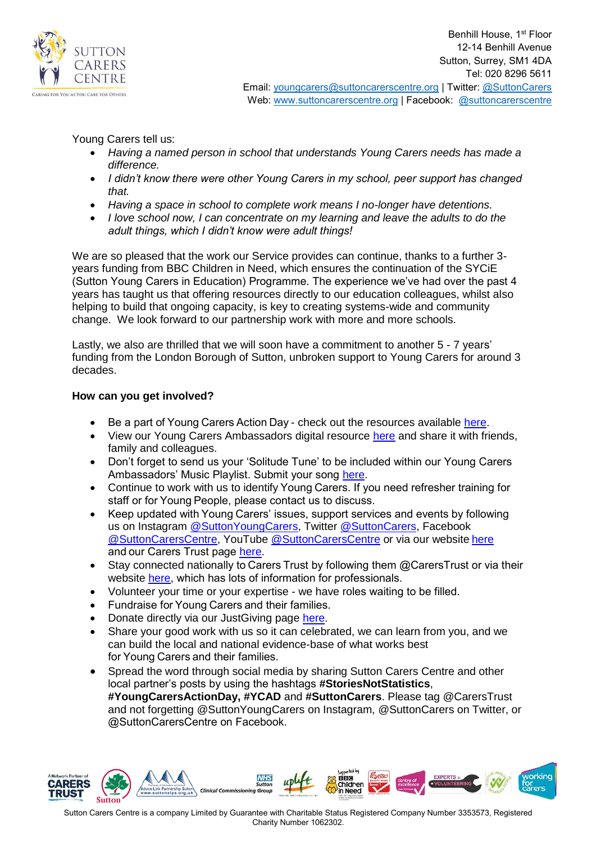

Young Carers tell us:

- *Having a named person in school that understands Young Carers needs has made a difference.*
- *I didn't know there were other Young Carers in my school, peer support has changed that.*
- *Having a space in school to complete work means I no-longer have detentions.*
- *I love school now, I can concentrate on my learning and leave the adults to do the adult things, which I didn't know were adult things!*

We are so pleased that the work our Service provides can continue, thanks to a further 3 years funding from BBC Children in Need, which ensures the continuation of the SYCiE (Sutton Young Carers in Education) Programme. The experience we've had over the past 4 years has taught us that offering resources directly to our education colleagues, whilst also helping to build that ongoing capacity, is key to creating systems-wide and community change. We look forward to our partnership work with more and more schools.

Lastly, we also are thrilled that we will soon have a commitment to another 5 - 7 years' funding from the London Borough of Sutton, unbroken support to Young Carers for around 3 decades.

### **How can you get involved?**

- Be a part of Young Carers Action Day - check out the resources available [here.](https://carers.org/young-carers-action-day-2022/young-carers-action-day-2022-1)
- View our Young Carers Ambassadors digital resource [here](https://www.suttoncarerscentre.org/youngcarersactionday2022) and share it with friends, family and colleagues.
- Don't forget to send us your 'Solitude Tune' to be included within our Young Carers Ambassadors' Music Playlist. Submit your song [here.](https://forms.office.com/pages/responsepage.aspx?id=dhU2l9NCvku0dwgrSg6h89o2lm5thj5HgYPY4xTXp1BUOTdVVDNNOUMxOFQ5MVlUUFgxWVZZOUNZTC4u)
- Continue to work with us to identify Young Carers. If you need refresher training for staff or for Young People, please contact us to discuss.
- Keep updated with Young Carers' issues, support services and events by following us on Instagram [@SuttonYoungCarers,](https://www.instagram.com/suttonyoungcarers/) Twitter [@SuttonCarers,](https://twitter.com/SuttonCarers) Facebook [@SuttonCarersCentre,](https://www.facebook.com/SuttonCarersCentre) YouTube [@SuttonCarersCentre](https://www.youtube.com/channel/UCx82OR_e0qswO7NkynsP0fw) or via our website [here](https://www.suttoncarerscentre.org/youngcarersactionday2022) and our Carers Trust page [here.](https://carers.org/help-and-info/carer-services-near-you/138-sutton-carers-centre)
- Stay connected nationally to Carers Trust by following them @CarersTrust or via their website [here,](https://carers.org/resources/all-resources) which has lots of information for professionals.
- Volunteer your time or your expertise we have roles waiting to be filled.
- Fundraise for Young Carers and their families.
- Donate directly via our JustGiving page [here.](https://www.justgiving.com/suttoncarerscentre)
- Share your good work with us so it can celebrated, we can learn from you, and we can build the local and national evidence-base of what works best for Young Carers and their families.
- Spread the word through social media by sharing Sutton Carers Centre and other local partner's posts by using the hashtags **#StoriesNotStatistics**, **#YoungCarersActionDay, #YCAD** and **#SuttonCarers**. Please tag @CarersTrust and not forgetting @SuttonYoungCarers on Instagram, @SuttonCarers on Twitter, or @SuttonCarersCentre on Facebook.